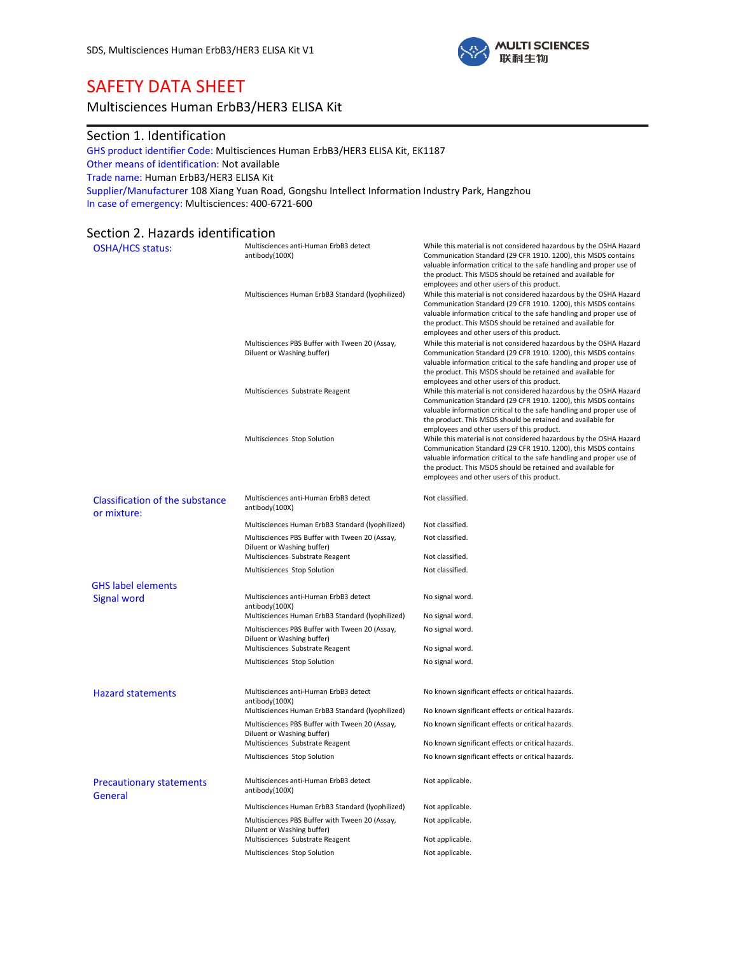

# SAFETY DATA SHEET

# Multisciences Human ErbB3/HER3 ELISA Kit

# Section 1. Identification

GHS product identifier Code: Multisciences Human ErbB3/HER3 ELISA Kit, EK1187 Other means of identification: Not available Trade name: Human ErbB3/HER3 ELISA Kit Supplier/Manufacturer 108 Xiang Yuan Road, Gongshu Intellect Information Industry Park, Hangzhou In case of emergency: Multisciences: 400-6721-600

# Section 2. Hazards identification

| <b>OSHA/HCS status:</b>                               | Multisciences anti-Human ErbB3 detect<br>antibody(100X)                                                     | While this material is not considered hazardous by the OSHA Hazard<br>Communication Standard (29 CFR 1910. 1200), this MSDS contains<br>valuable information critical to the safe handling and proper use of<br>the product. This MSDS should be retained and available for                                                                                             |
|-------------------------------------------------------|-------------------------------------------------------------------------------------------------------------|-------------------------------------------------------------------------------------------------------------------------------------------------------------------------------------------------------------------------------------------------------------------------------------------------------------------------------------------------------------------------|
|                                                       | Multisciences Human ErbB3 Standard (lyophilized)                                                            | employees and other users of this product.<br>While this material is not considered hazardous by the OSHA Hazard<br>Communication Standard (29 CFR 1910. 1200), this MSDS contains<br>valuable information critical to the safe handling and proper use of<br>the product. This MSDS should be retained and available for<br>employees and other users of this product. |
|                                                       | Multisciences PBS Buffer with Tween 20 (Assay,<br>Diluent or Washing buffer)                                | While this material is not considered hazardous by the OSHA Hazard<br>Communication Standard (29 CFR 1910. 1200), this MSDS contains<br>valuable information critical to the safe handling and proper use of<br>the product. This MSDS should be retained and available for<br>employees and other users of this product.                                               |
|                                                       | Multisciences Substrate Reagent                                                                             | While this material is not considered hazardous by the OSHA Hazard<br>Communication Standard (29 CFR 1910. 1200), this MSDS contains<br>valuable information critical to the safe handling and proper use of<br>the product. This MSDS should be retained and available for<br>employees and other users of this product.                                               |
|                                                       | Multisciences Stop Solution                                                                                 | While this material is not considered hazardous by the OSHA Hazard<br>Communication Standard (29 CFR 1910. 1200), this MSDS contains<br>valuable information critical to the safe handling and proper use of<br>the product. This MSDS should be retained and available for<br>employees and other users of this product.                                               |
| <b>Classification of the substance</b><br>or mixture: | Multisciences anti-Human ErbB3 detect<br>antibody(100X)                                                     | Not classified.                                                                                                                                                                                                                                                                                                                                                         |
|                                                       | Multisciences Human ErbB3 Standard (lyophilized)                                                            | Not classified.                                                                                                                                                                                                                                                                                                                                                         |
|                                                       | Multisciences PBS Buffer with Tween 20 (Assay,<br>Diluent or Washing buffer)                                | Not classified.                                                                                                                                                                                                                                                                                                                                                         |
|                                                       | Multisciences Substrate Reagent                                                                             | Not classified.                                                                                                                                                                                                                                                                                                                                                         |
|                                                       | Multisciences Stop Solution                                                                                 | Not classified.                                                                                                                                                                                                                                                                                                                                                         |
| <b>GHS label elements</b>                             |                                                                                                             |                                                                                                                                                                                                                                                                                                                                                                         |
| <b>Signal word</b>                                    | Multisciences anti-Human ErbB3 detect<br>antibody(100X)<br>Multisciences Human ErbB3 Standard (lyophilized) | No signal word.<br>No signal word.                                                                                                                                                                                                                                                                                                                                      |
|                                                       | Multisciences PBS Buffer with Tween 20 (Assay,                                                              | No signal word.                                                                                                                                                                                                                                                                                                                                                         |
|                                                       | Diluent or Washing buffer)<br>Multisciences Substrate Reagent                                               | No signal word.                                                                                                                                                                                                                                                                                                                                                         |
|                                                       | Multisciences Stop Solution                                                                                 | No signal word.                                                                                                                                                                                                                                                                                                                                                         |
|                                                       |                                                                                                             |                                                                                                                                                                                                                                                                                                                                                                         |
| <b>Hazard statements</b>                              | Multisciences anti-Human ErbB3 detect<br>antibody(100X)                                                     | No known significant effects or critical hazards.                                                                                                                                                                                                                                                                                                                       |
|                                                       | Multisciences Human ErbB3 Standard (lyophilized)                                                            | No known significant effects or critical hazards.                                                                                                                                                                                                                                                                                                                       |
|                                                       | Multisciences PBS Buffer with Tween 20 (Assay,<br>Diluent or Washing buffer)                                | No known significant effects or critical hazards.                                                                                                                                                                                                                                                                                                                       |
|                                                       | Multisciences Substrate Reagent                                                                             | No known significant effects or critical hazards.                                                                                                                                                                                                                                                                                                                       |
|                                                       | Multisciences Stop Solution                                                                                 | No known significant effects or critical hazards.                                                                                                                                                                                                                                                                                                                       |
| <b>Precautionary statements</b><br>General            | Multisciences anti-Human ErbB3 detect<br>antibody(100X)                                                     | Not applicable.                                                                                                                                                                                                                                                                                                                                                         |
|                                                       | Multisciences Human ErbB3 Standard (lyophilized)                                                            | Not applicable.                                                                                                                                                                                                                                                                                                                                                         |
|                                                       | Multisciences PBS Buffer with Tween 20 (Assay,<br>Diluent or Washing buffer)                                | Not applicable.                                                                                                                                                                                                                                                                                                                                                         |
|                                                       | Multisciences Substrate Reagent                                                                             | Not applicable.                                                                                                                                                                                                                                                                                                                                                         |
|                                                       | Multisciences Stop Solution                                                                                 | Not applicable.                                                                                                                                                                                                                                                                                                                                                         |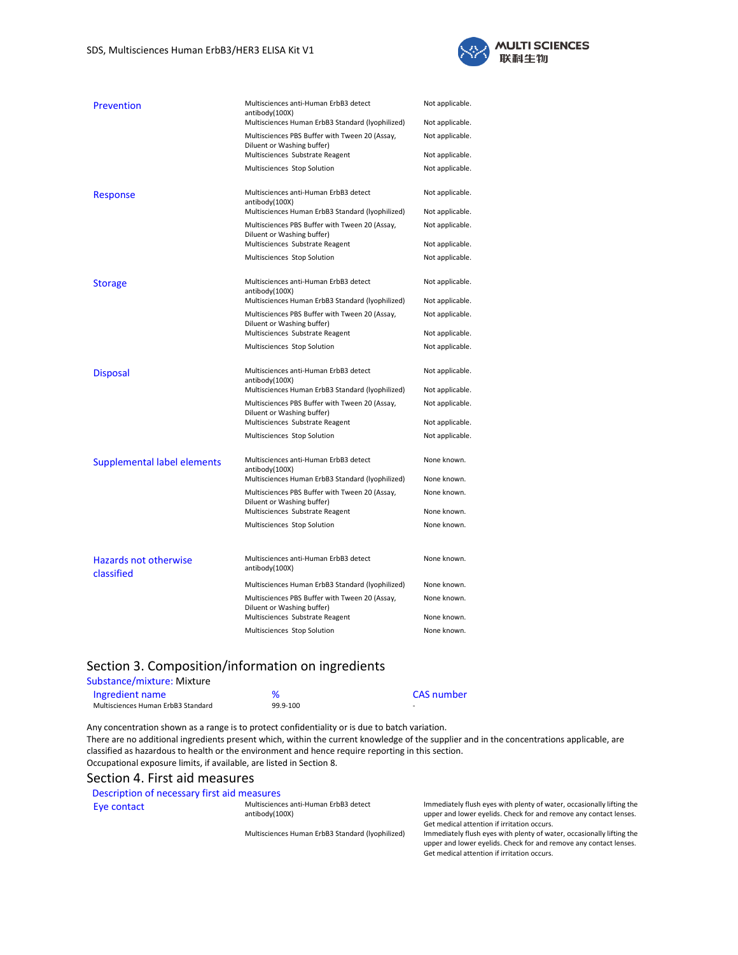

| Prevention                  | Multisciences anti-Human ErbB3 detect<br>antibody(100X)                      | Not applicable. |
|-----------------------------|------------------------------------------------------------------------------|-----------------|
|                             | Multisciences Human ErbB3 Standard (lyophilized)                             | Not applicable. |
|                             | Multisciences PBS Buffer with Tween 20 (Assay,<br>Diluent or Washing buffer) | Not applicable. |
|                             | Multisciences Substrate Reagent                                              | Not applicable. |
|                             | Multisciences Stop Solution                                                  | Not applicable. |
| <b>Response</b>             | Multisciences anti-Human ErbB3 detect<br>antibody(100X)                      | Not applicable. |
|                             | Multisciences Human ErbB3 Standard (lyophilized)                             | Not applicable. |
|                             | Multisciences PBS Buffer with Tween 20 (Assay,<br>Diluent or Washing buffer) | Not applicable. |
|                             | Multisciences Substrate Reagent                                              | Not applicable. |
|                             | Multisciences Stop Solution                                                  | Not applicable. |
| <b>Storage</b>              | Multisciences anti-Human ErbB3 detect<br>antibody(100X)                      | Not applicable. |
|                             | Multisciences Human ErbB3 Standard (lyophilized)                             | Not applicable. |
|                             | Multisciences PBS Buffer with Tween 20 (Assay,<br>Diluent or Washing buffer) | Not applicable. |
|                             | Multisciences Substrate Reagent                                              | Not applicable. |
|                             | Multisciences Stop Solution                                                  | Not applicable. |
| <b>Disposal</b>             | Multisciences anti-Human ErbB3 detect<br>antibody(100X)                      | Not applicable. |
|                             | Multisciences Human ErbB3 Standard (lyophilized)                             | Not applicable. |
|                             | Multisciences PBS Buffer with Tween 20 (Assay,<br>Diluent or Washing buffer) | Not applicable. |
|                             | Multisciences Substrate Reagent                                              | Not applicable. |
|                             | Multisciences Stop Solution                                                  | Not applicable. |
| Supplemental label elements | Multisciences anti-Human ErbB3 detect<br>antibody(100X)                      | None known.     |
|                             | Multisciences Human ErbB3 Standard (Iyophilized)                             | None known.     |
|                             | Multisciences PBS Buffer with Tween 20 (Assay,<br>Diluent or Washing buffer) | None known.     |
|                             | Multisciences Substrate Reagent                                              | None known.     |
|                             | Multisciences Stop Solution                                                  | None known.     |
| Hazards not otherwise       | Multisciences anti-Human ErbB3 detect                                        | None known.     |
| classified                  | antibody(100X)                                                               |                 |
|                             | Multisciences Human ErbB3 Standard (lyophilized)                             | None known.     |
|                             | Multisciences PBS Buffer with Tween 20 (Assay,<br>Diluent or Washing buffer) | None known.     |
|                             | Multisciences Substrate Reagent                                              | None known.     |
|                             | Multisciences Stop Solution                                                  | None known.     |

# Section 3. Composition/information on ingredients

### Substance/mixture: Mixture

| Ingredient name                    |          | <b>CAS</b> number |
|------------------------------------|----------|-------------------|
| Multisciences Human ErbB3 Standard | 99.9-100 | -                 |

Any concentration shown as a range is to protect confidentiality or is due to batch variation. There are no additional ingredients present which, within the current knowledge of the supplier and in the concentrations applicable, are classified as hazardous to health or the environment and hence require reporting in this section. Occupational exposure limits, if available, are listed in Section 8.

### Section 4. First aid measures

### Description of necessary first aid measures

Eye contact Multisciences anti-Human ErbB3 detect antibody(100X)

Immediately flush eyes with plenty of water, occasionally lifting the upper and lower eyelids. Check for and remove any contact lenses. Get medical attention if irritation occurs.

Multisciences Human ErbB3 Standard (lyophilized) Immediately flush eyes with plenty of water, occasionally lifting the upper and lower eyelids. Check for and remove any contact lenses. Get medical attention if irritation occurs.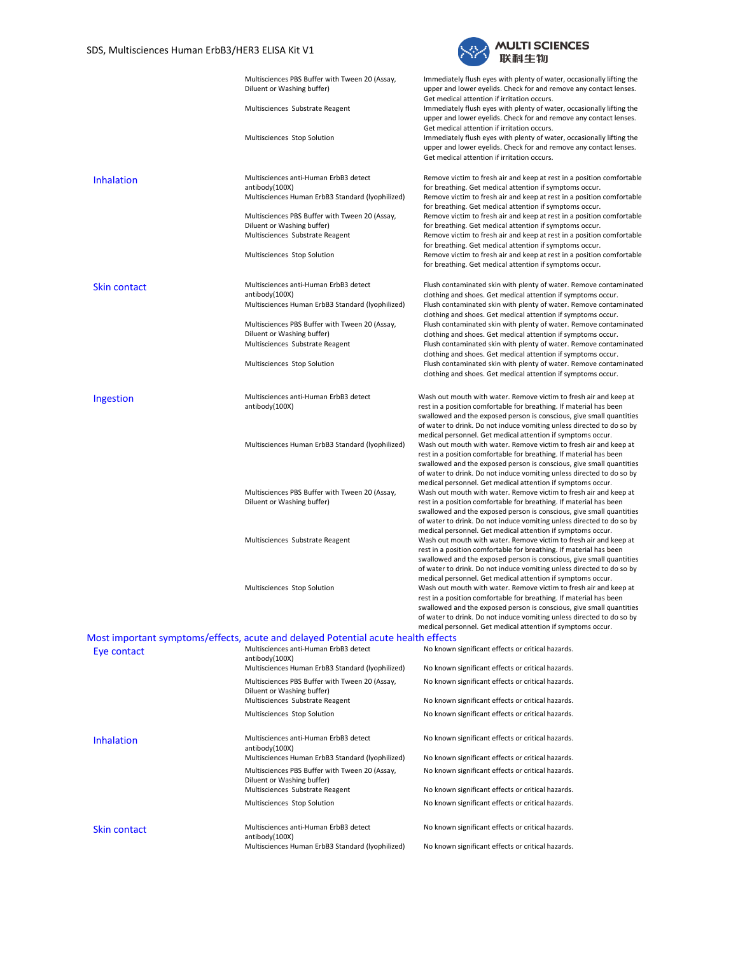

|                     | Multisciences PBS Buffer with Tween 20 (Assay,<br>Diluent or Washing buffer)                                | Immediately flush eyes with plenty of water, occasionally lifting the<br>upper and lower eyelids. Check for and remove any contact lenses.                                                                                                                                                                                                                                                                                                                                                      |
|---------------------|-------------------------------------------------------------------------------------------------------------|-------------------------------------------------------------------------------------------------------------------------------------------------------------------------------------------------------------------------------------------------------------------------------------------------------------------------------------------------------------------------------------------------------------------------------------------------------------------------------------------------|
|                     | Multisciences Substrate Reagent                                                                             | Get medical attention if irritation occurs.<br>Immediately flush eyes with plenty of water, occasionally lifting the<br>upper and lower eyelids. Check for and remove any contact lenses.                                                                                                                                                                                                                                                                                                       |
|                     | Multisciences Stop Solution                                                                                 | Get medical attention if irritation occurs.<br>Immediately flush eyes with plenty of water, occasionally lifting the<br>upper and lower eyelids. Check for and remove any contact lenses.<br>Get medical attention if irritation occurs.                                                                                                                                                                                                                                                        |
| <b>Inhalation</b>   | Multisciences anti-Human ErbB3 detect<br>antibody(100X)<br>Multisciences Human ErbB3 Standard (lyophilized) | Remove victim to fresh air and keep at rest in a position comfortable<br>for breathing. Get medical attention if symptoms occur.<br>Remove victim to fresh air and keep at rest in a position comfortable<br>for breathing. Get medical attention if symptoms occur.                                                                                                                                                                                                                            |
|                     | Multisciences PBS Buffer with Tween 20 (Assay,<br>Diluent or Washing buffer)                                | Remove victim to fresh air and keep at rest in a position comfortable<br>for breathing. Get medical attention if symptoms occur.                                                                                                                                                                                                                                                                                                                                                                |
|                     | Multisciences Substrate Reagent<br>Multisciences Stop Solution                                              | Remove victim to fresh air and keep at rest in a position comfortable<br>for breathing. Get medical attention if symptoms occur.<br>Remove victim to fresh air and keep at rest in a position comfortable<br>for breathing. Get medical attention if symptoms occur.                                                                                                                                                                                                                            |
| <b>Skin contact</b> | Multisciences anti-Human ErbB3 detect<br>antibody(100X)                                                     | Flush contaminated skin with plenty of water. Remove contaminated<br>clothing and shoes. Get medical attention if symptoms occur.                                                                                                                                                                                                                                                                                                                                                               |
|                     | Multisciences Human ErbB3 Standard (Iyophilized)<br>Multisciences PBS Buffer with Tween 20 (Assay,          | Flush contaminated skin with plenty of water. Remove contaminated<br>clothing and shoes. Get medical attention if symptoms occur.<br>Flush contaminated skin with plenty of water. Remove contaminated                                                                                                                                                                                                                                                                                          |
|                     | Diluent or Washing buffer)<br>Multisciences Substrate Reagent                                               | clothing and shoes. Get medical attention if symptoms occur.<br>Flush contaminated skin with plenty of water. Remove contaminated<br>clothing and shoes. Get medical attention if symptoms occur.                                                                                                                                                                                                                                                                                               |
|                     | Multisciences Stop Solution                                                                                 | Flush contaminated skin with plenty of water. Remove contaminated<br>clothing and shoes. Get medical attention if symptoms occur.                                                                                                                                                                                                                                                                                                                                                               |
| Ingestion           | Multisciences anti-Human ErbB3 detect<br>antibody(100X)                                                     | Wash out mouth with water. Remove victim to fresh air and keep at<br>rest in a position comfortable for breathing. If material has been<br>swallowed and the exposed person is conscious, give small quantities<br>of water to drink. Do not induce vomiting unless directed to do so by                                                                                                                                                                                                        |
|                     | Multisciences Human ErbB3 Standard (lyophilized)                                                            | medical personnel. Get medical attention if symptoms occur.<br>Wash out mouth with water. Remove victim to fresh air and keep at<br>rest in a position comfortable for breathing. If material has been<br>swallowed and the exposed person is conscious, give small quantities<br>of water to drink. Do not induce vomiting unless directed to do so by                                                                                                                                         |
|                     | Multisciences PBS Buffer with Tween 20 (Assay,<br>Diluent or Washing buffer)                                | medical personnel. Get medical attention if symptoms occur.<br>Wash out mouth with water. Remove victim to fresh air and keep at<br>rest in a position comfortable for breathing. If material has been<br>swallowed and the exposed person is conscious, give small quantities<br>of water to drink. Do not induce vomiting unless directed to do so by                                                                                                                                         |
|                     | Multisciences Substrate Reagent                                                                             | medical personnel. Get medical attention if symptoms occur.<br>Wash out mouth with water. Remove victim to fresh air and keep at<br>rest in a position comfortable for breathing. If material has been<br>swallowed and the exposed person is conscious, give small quantities                                                                                                                                                                                                                  |
|                     | Multisciences Stop Solution                                                                                 | of water to drink. Do not induce vomiting unless directed to do so by<br>medical personnel. Get medical attention if symptoms occur.<br>Wash out mouth with water. Remove victim to fresh air and keep at<br>rest in a position comfortable for breathing. If material has been<br>swallowed and the exposed person is conscious, give small quantities<br>of water to drink. Do not induce vomiting unless directed to do so by<br>medical personnel. Get medical attention if symptoms occur. |
|                     | Most important symptoms/effects, acute and delayed Potential acute health effects                           |                                                                                                                                                                                                                                                                                                                                                                                                                                                                                                 |
| Eye contact         | Multisciences anti-Human ErbB3 detect<br>antibody(100X)                                                     | No known significant effects or critical hazards.                                                                                                                                                                                                                                                                                                                                                                                                                                               |
|                     | Multisciences Human ErbB3 Standard (lyophilized)<br>Multisciences PBS Buffer with Tween 20 (Assay,          | No known significant effects or critical hazards.                                                                                                                                                                                                                                                                                                                                                                                                                                               |
|                     | Diluent or Washing buffer)<br>Multisciences Substrate Reagent                                               | No known significant effects or critical hazards.<br>No known significant effects or critical hazards.                                                                                                                                                                                                                                                                                                                                                                                          |
|                     | Multisciences Stop Solution                                                                                 | No known significant effects or critical hazards.                                                                                                                                                                                                                                                                                                                                                                                                                                               |
| <b>Inhalation</b>   | Multisciences anti-Human ErbB3 detect<br>antibody(100X)                                                     | No known significant effects or critical hazards.                                                                                                                                                                                                                                                                                                                                                                                                                                               |
|                     | Multisciences Human ErbB3 Standard (lyophilized)                                                            | No known significant effects or critical hazards.                                                                                                                                                                                                                                                                                                                                                                                                                                               |
|                     | Multisciences PBS Buffer with Tween 20 (Assay,<br>Diluent or Washing buffer)                                | No known significant effects or critical hazards.                                                                                                                                                                                                                                                                                                                                                                                                                                               |
|                     | Multisciences Substrate Reagent                                                                             | No known significant effects or critical hazards.                                                                                                                                                                                                                                                                                                                                                                                                                                               |
|                     | Multisciences Stop Solution                                                                                 | No known significant effects or critical hazards.                                                                                                                                                                                                                                                                                                                                                                                                                                               |
| <b>Skin contact</b> | Multisciences anti-Human ErbB3 detect<br>antibody(100X)                                                     | No known significant effects or critical hazards.                                                                                                                                                                                                                                                                                                                                                                                                                                               |
|                     | Multisciences Human ErbB3 Standard (lyophilized)                                                            | No known significant effects or critical hazards.                                                                                                                                                                                                                                                                                                                                                                                                                                               |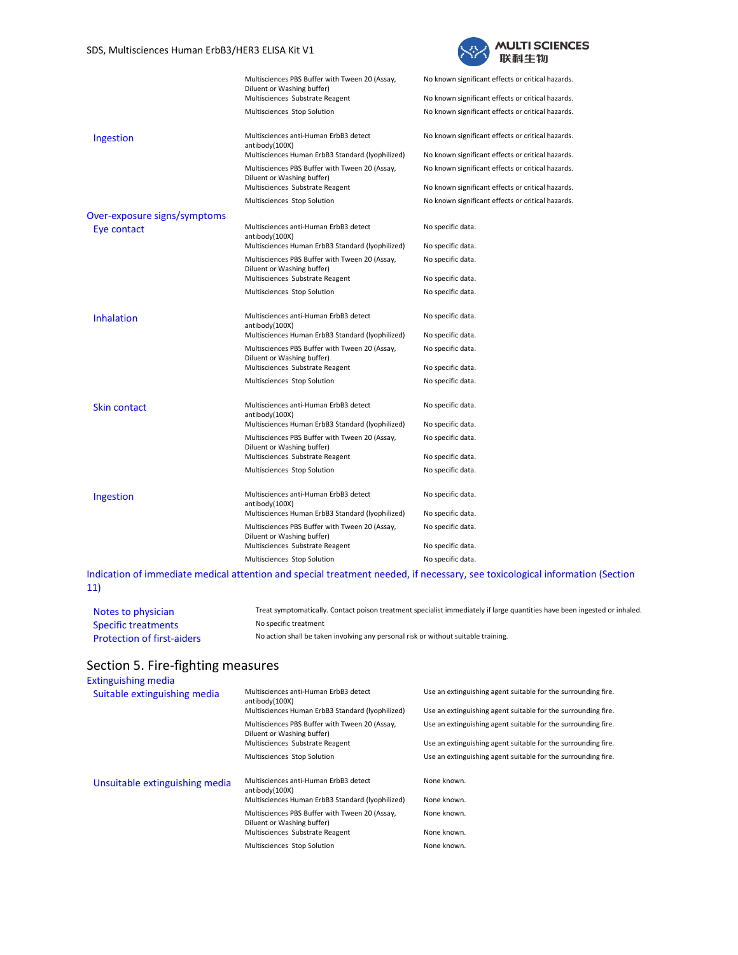

|                              | Multisciences PBS Buffer with Tween 20 (Assay,<br>Diluent or Washing buffer)                                        | No known significant effects or critical hazards.                                                      |
|------------------------------|---------------------------------------------------------------------------------------------------------------------|--------------------------------------------------------------------------------------------------------|
|                              | Multisciences Substrate Reagent                                                                                     | No known significant effects or critical hazards.                                                      |
|                              | Multisciences Stop Solution                                                                                         | No known significant effects or critical hazards.                                                      |
| Ingestion                    | Multisciences anti-Human ErbB3 detect<br>antibody(100X)                                                             | No known significant effects or critical hazards.                                                      |
|                              | Multisciences Human ErbB3 Standard (Iyophilized)                                                                    | No known significant effects or critical hazards.                                                      |
|                              | Multisciences PBS Buffer with Tween 20 (Assay,<br>Diluent or Washing buffer)<br>Multisciences Substrate Reagent     | No known significant effects or critical hazards.<br>No known significant effects or critical hazards. |
|                              |                                                                                                                     |                                                                                                        |
|                              | Multisciences Stop Solution                                                                                         | No known significant effects or critical hazards.                                                      |
| Over-exposure signs/symptoms |                                                                                                                     |                                                                                                        |
| Eye contact                  | Multisciences anti-Human ErbB3 detect<br>antibody(100X)                                                             | No specific data.                                                                                      |
|                              | Multisciences Human ErbB3 Standard (lyophilized)                                                                    | No specific data.                                                                                      |
|                              | Multisciences PBS Buffer with Tween 20 (Assay,<br>Diluent or Washing buffer)                                        | No specific data.<br>No specific data.                                                                 |
|                              | Multisciences Substrate Reagent                                                                                     |                                                                                                        |
|                              | Multisciences Stop Solution                                                                                         | No specific data.                                                                                      |
| <b>Inhalation</b>            | Multisciences anti-Human ErbB3 detect<br>antibody(100X)                                                             | No specific data.                                                                                      |
|                              | Multisciences Human ErbB3 Standard (Iyophilized)                                                                    | No specific data.                                                                                      |
|                              | Multisciences PBS Buffer with Tween 20 (Assay,<br>Diluent or Washing buffer)                                        | No specific data.                                                                                      |
|                              | Multisciences Substrate Reagent                                                                                     | No specific data.                                                                                      |
|                              | Multisciences Stop Solution                                                                                         | No specific data.                                                                                      |
| Skin contact                 | Multisciences anti-Human ErbB3 detect<br>antibody(100X)                                                             | No specific data.                                                                                      |
|                              | Multisciences Human ErbB3 Standard (Iyophilized)                                                                    | No specific data.                                                                                      |
|                              | Multisciences PBS Buffer with Tween 20 (Assay,<br>Diluent or Washing buffer)                                        | No specific data.                                                                                      |
|                              | Multisciences Substrate Reagent                                                                                     | No specific data.                                                                                      |
|                              | Multisciences Stop Solution                                                                                         | No specific data.                                                                                      |
| Ingestion                    | Multisciences anti-Human ErbB3 detect<br>antibody(100X)                                                             | No specific data.                                                                                      |
|                              | Multisciences Human ErbB3 Standard (lyophilized)                                                                    | No specific data.                                                                                      |
|                              | Multisciences PBS Buffer with Tween 20 (Assay,<br>Diluent or Washing buffer)                                        | No specific data.                                                                                      |
|                              | Multisciences Substrate Reagent                                                                                     | No specific data.                                                                                      |
|                              | Multisciences Stop Solution                                                                                         | No specific data.                                                                                      |
|                              | disation of inno objets medical ettertion and special treatment needed. if necessary, see to visolegical informatio |                                                                                                        |

Indication of immediate medical attention and special treatment needed, if necessary, see toxicological information (Section 11)

| Notes to physician                | Treat symptomatically. Contact poison treatment specialist immediately if large quantities have been ingested or inhaled. |
|-----------------------------------|---------------------------------------------------------------------------------------------------------------------------|
| <b>Specific treatments</b>        | No specific treatment                                                                                                     |
| <b>Protection of first-aiders</b> | No action shall be taken involving any personal risk or without suitable training.                                        |

# Section 5. Fire-fighting measures

| Extinguishing media            |                                                                              |                                                                                                                                |
|--------------------------------|------------------------------------------------------------------------------|--------------------------------------------------------------------------------------------------------------------------------|
| Suitable extinguishing media   | Multisciences anti-Human ErbB3 detect<br>antibody(100X)                      | Use an extinguishing agent suitable for the surrounding fire.<br>Use an extinguishing agent suitable for the surrounding fire. |
|                                | Multisciences Human ErbB3 Standard (Iyophilized)                             |                                                                                                                                |
|                                | Multisciences PBS Buffer with Tween 20 (Assay,<br>Diluent or Washing buffer) | Use an extinguishing agent suitable for the surrounding fire.                                                                  |
|                                | Multisciences Substrate Reagent                                              | Use an extinguishing agent suitable for the surrounding fire.                                                                  |
|                                | Multisciences Stop Solution                                                  | Use an extinguishing agent suitable for the surrounding fire.                                                                  |
| Unsuitable extinguishing media | Multisciences anti-Human ErbB3 detect<br>antibody(100X)                      | None known.                                                                                                                    |
|                                | Multisciences Human ErbB3 Standard (Iyophilized)                             | None known.                                                                                                                    |
|                                | Multisciences PBS Buffer with Tween 20 (Assay,<br>Diluent or Washing buffer) | None known.                                                                                                                    |
|                                | Multisciences Substrate Reagent                                              | None known.                                                                                                                    |
|                                | Multisciences Stop Solution                                                  | None known.                                                                                                                    |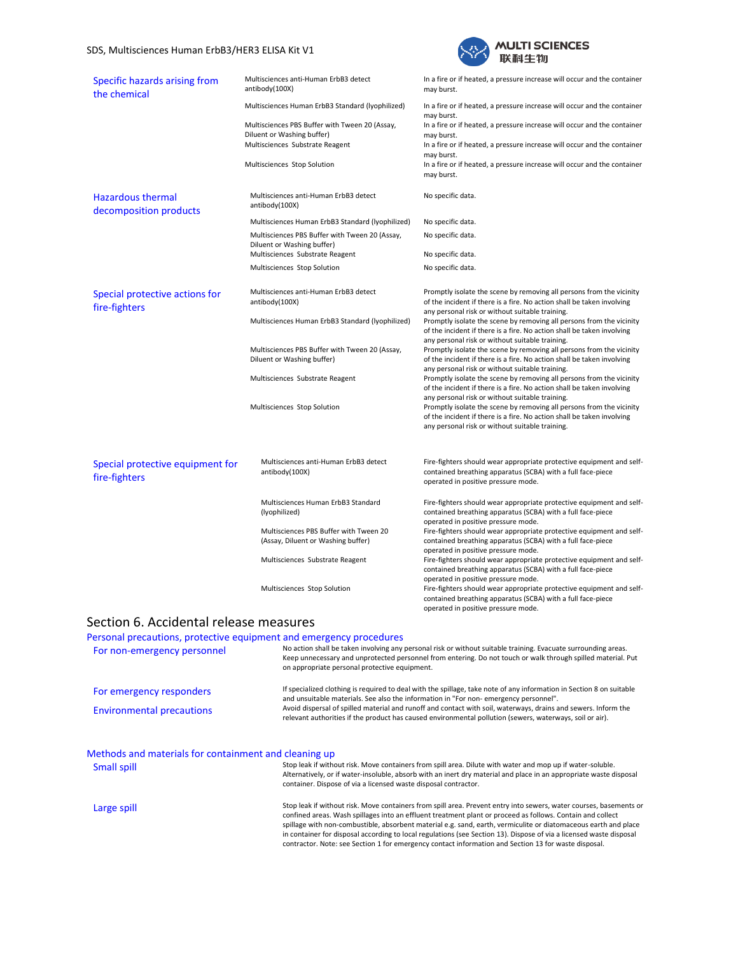#### SDS, Multisciences Human ErbB3/HER3 ELISA Kit V1



| Specific hazards arising from<br>the chemical      | Multisciences anti-Human ErbB3 detect<br>antibody(100X)                      | In a fire or if heated, a pressure increase will occur and the container<br>may burst.                                                                                                                                                               |
|----------------------------------------------------|------------------------------------------------------------------------------|------------------------------------------------------------------------------------------------------------------------------------------------------------------------------------------------------------------------------------------------------|
|                                                    | Multisciences Human ErbB3 Standard (lyophilized)                             | In a fire or if heated, a pressure increase will occur and the container<br>may burst.                                                                                                                                                               |
|                                                    | Multisciences PBS Buffer with Tween 20 (Assay,<br>Diluent or Washing buffer) | In a fire or if heated, a pressure increase will occur and the container<br>may burst.                                                                                                                                                               |
|                                                    | Multisciences Substrate Reagent                                              | In a fire or if heated, a pressure increase will occur and the container<br>may burst.                                                                                                                                                               |
|                                                    | Multisciences Stop Solution                                                  | In a fire or if heated, a pressure increase will occur and the container<br>may burst.                                                                                                                                                               |
| <b>Hazardous thermal</b><br>decomposition products | Multisciences anti-Human ErbB3 detect<br>antibody(100X)                      | No specific data.                                                                                                                                                                                                                                    |
|                                                    | Multisciences Human ErbB3 Standard (Iyophilized)                             | No specific data.                                                                                                                                                                                                                                    |
|                                                    | Multisciences PBS Buffer with Tween 20 (Assay,<br>Diluent or Washing buffer) | No specific data.                                                                                                                                                                                                                                    |
|                                                    | Multisciences Substrate Reagent                                              | No specific data.                                                                                                                                                                                                                                    |
|                                                    | Multisciences Stop Solution                                                  | No specific data.                                                                                                                                                                                                                                    |
| Special protective actions for<br>fire-fighters    | Multisciences anti-Human ErbB3 detect<br>antibody(100X)                      | Promptly isolate the scene by removing all persons from the vicinity<br>of the incident if there is a fire. No action shall be taken involving<br>any personal risk or without suitable training.                                                    |
|                                                    | Multisciences Human ErbB3 Standard (Iyophilized)                             | Promptly isolate the scene by removing all persons from the vicinity<br>of the incident if there is a fire. No action shall be taken involving                                                                                                       |
|                                                    | Multisciences PBS Buffer with Tween 20 (Assay,<br>Diluent or Washing buffer) | any personal risk or without suitable training.<br>Promptly isolate the scene by removing all persons from the vicinity<br>of the incident if there is a fire. No action shall be taken involving<br>any personal risk or without suitable training. |
|                                                    | Multisciences Substrate Reagent                                              | Promptly isolate the scene by removing all persons from the vicinity<br>of the incident if there is a fire. No action shall be taken involving                                                                                                       |
|                                                    | Multisciences Stop Solution                                                  | any personal risk or without suitable training.<br>Promptly isolate the scene by removing all persons from the vicinity<br>of the incident if there is a fire. No action shall be taken involving<br>any personal risk or without suitable training. |
| Special protective equipment for<br>fire-fighters  | Multisciences anti-Human ErbB3 detect<br>antibody(100X)                      | Fire-fighters should wear appropriate protective equipment and self-<br>contained breathing apparatus (SCBA) with a full face-piece<br>operated in positive pressure mode.                                                                           |
|                                                    | Multisciences Human ErbB3 Standard<br>(lyophilized)                          | Fire-fighters should wear appropriate protective equipment and self-<br>contained breathing apparatus (SCBA) with a full face-piece<br>operated in positive pressure mode.                                                                           |
|                                                    | Multisciences PBS Buffer with Tween 20<br>(Assay, Diluent or Washing buffer) | Fire-fighters should wear appropriate protective equipment and self-<br>contained breathing apparatus (SCBA) with a full face-piece                                                                                                                  |
|                                                    | Multisciences Substrate Reagent                                              | operated in positive pressure mode.<br>Fire-fighters should wear appropriate protective equipment and self-<br>contained breathing apparatus (SCBA) with a full face-piece                                                                           |
|                                                    | Multisciences Stop Solution                                                  | operated in positive pressure mode.<br>Fire-fighters should wear appropriate protective equipment and self-<br>contained breathing apparatus (SCBA) with a full face-piece<br>operated in positive pressure mode.                                    |
| Section 6. Accidental release measures             |                                                                              |                                                                                                                                                                                                                                                      |
|                                                    | Personal precautions, protective equipment and emergency procedures          |                                                                                                                                                                                                                                                      |

For non-emergency personnel No action shall be taken involving any personal risk or without suitable training. Evacuate surrounding areas. Keep unnecessary and unprotected personnel from entering. Do not touch or walk through spilled material. Put on appropriate personal protective equipment. For emergency responders<br>and unsuitable materials. See also the information in "For non-emergency personnel". Environmental precautions Avoid dispersal of spilled material and runoff and contact with soil, waterways, drains and sewers. Inform the relevant authorities if the product has caused environmental pollution (sewers, waterways, soil or air).

# Methods and materials for containment and cleaning up

| <u>Victilius and materials for containment and cleaning up</u> |                                                                                                                                                                                                                                                                                                                                                                                                                                                                                                                                                                                    |
|----------------------------------------------------------------|------------------------------------------------------------------------------------------------------------------------------------------------------------------------------------------------------------------------------------------------------------------------------------------------------------------------------------------------------------------------------------------------------------------------------------------------------------------------------------------------------------------------------------------------------------------------------------|
| <b>Small spill</b>                                             | Stop leak if without risk. Move containers from spill area. Dilute with water and mop up if water-soluble.<br>Alternatively, or if water-insoluble, absorb with an inert dry material and place in an appropriate waste disposal<br>container. Dispose of via a licensed waste disposal contractor.                                                                                                                                                                                                                                                                                |
| Large spill                                                    | Stop leak if without risk. Move containers from spill area. Prevent entry into sewers, water courses, basements or<br>confined areas. Wash spillages into an effluent treatment plant or proceed as follows. Contain and collect<br>spillage with non-combustible, absorbent material e.g. sand, earth, vermiculite or diatomaceous earth and place<br>in container for disposal according to local regulations (see Section 13). Dispose of via a licensed waste disposal<br>contractor. Note: see Section 1 for emergency contact information and Section 13 for waste disposal. |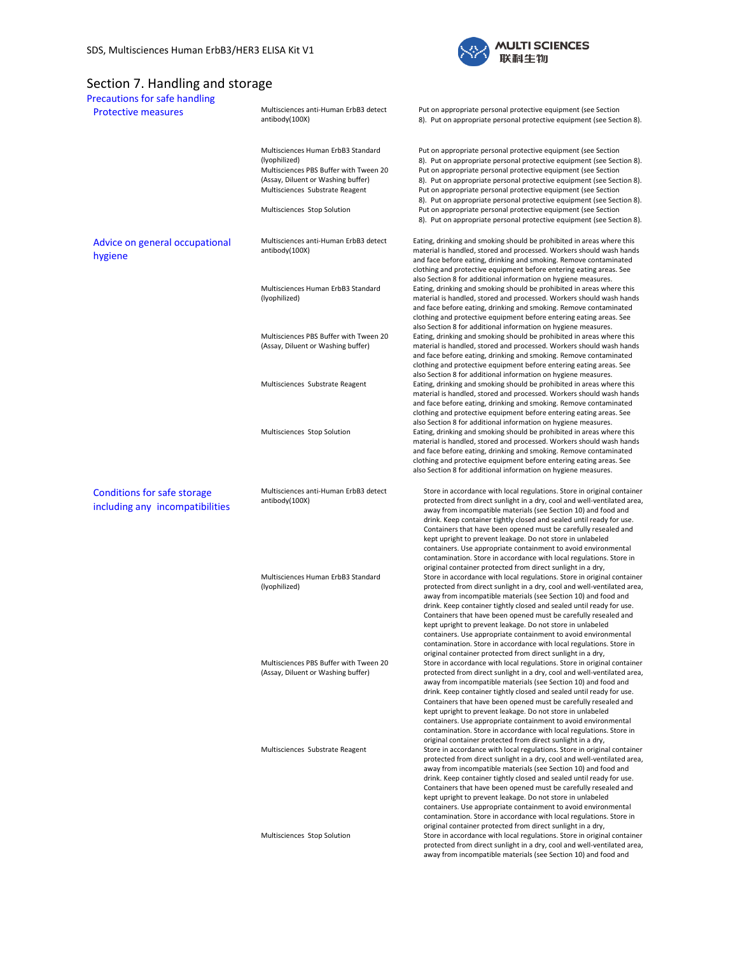

# Section 7. Handling and storage<br>Precautions for safe handling

| <b>Precautions for safe handling</b>                                  |                                                                                                                                                                                                       |                                                                                                                                                                                                                                                                                                                                                                                                                                                                                                                                                                                                                                                                                                      |
|-----------------------------------------------------------------------|-------------------------------------------------------------------------------------------------------------------------------------------------------------------------------------------------------|------------------------------------------------------------------------------------------------------------------------------------------------------------------------------------------------------------------------------------------------------------------------------------------------------------------------------------------------------------------------------------------------------------------------------------------------------------------------------------------------------------------------------------------------------------------------------------------------------------------------------------------------------------------------------------------------------|
| <b>Protective measures</b>                                            | Multisciences anti-Human ErbB3 detect<br>antibody(100X)                                                                                                                                               | Put on appropriate personal protective equipment (see Section<br>8). Put on appropriate personal protective equipment (see Section 8).                                                                                                                                                                                                                                                                                                                                                                                                                                                                                                                                                               |
|                                                                       | Multisciences Human ErbB3 Standard<br>(lyophilized)<br>Multisciences PBS Buffer with Tween 20<br>(Assay, Diluent or Washing buffer)<br>Multisciences Substrate Reagent<br>Multisciences Stop Solution | Put on appropriate personal protective equipment (see Section<br>8). Put on appropriate personal protective equipment (see Section 8).<br>Put on appropriate personal protective equipment (see Section<br>8). Put on appropriate personal protective equipment (see Section 8).<br>Put on appropriate personal protective equipment (see Section<br>8). Put on appropriate personal protective equipment (see Section 8).<br>Put on appropriate personal protective equipment (see Section<br>8). Put on appropriate personal protective equipment (see Section 8).                                                                                                                                 |
| Advice on general occupational<br>hygiene                             | Multisciences anti-Human ErbB3 detect<br>antibody(100X)                                                                                                                                               | Eating, drinking and smoking should be prohibited in areas where this<br>material is handled, stored and processed. Workers should wash hands<br>and face before eating, drinking and smoking. Remove contaminated<br>clothing and protective equipment before entering eating areas. See                                                                                                                                                                                                                                                                                                                                                                                                            |
|                                                                       | Multisciences Human ErbB3 Standard<br>(lyophilized)                                                                                                                                                   | also Section 8 for additional information on hygiene measures.<br>Eating, drinking and smoking should be prohibited in areas where this<br>material is handled, stored and processed. Workers should wash hands<br>and face before eating, drinking and smoking. Remove contaminated<br>clothing and protective equipment before entering eating areas. See                                                                                                                                                                                                                                                                                                                                          |
|                                                                       | Multisciences PBS Buffer with Tween 20<br>(Assay, Diluent or Washing buffer)                                                                                                                          | also Section 8 for additional information on hygiene measures.<br>Eating, drinking and smoking should be prohibited in areas where this<br>material is handled, stored and processed. Workers should wash hands<br>and face before eating, drinking and smoking. Remove contaminated<br>clothing and protective equipment before entering eating areas. See                                                                                                                                                                                                                                                                                                                                          |
|                                                                       | Multisciences Substrate Reagent                                                                                                                                                                       | also Section 8 for additional information on hygiene measures.<br>Eating, drinking and smoking should be prohibited in areas where this<br>material is handled, stored and processed. Workers should wash hands<br>and face before eating, drinking and smoking. Remove contaminated<br>clothing and protective equipment before entering eating areas. See                                                                                                                                                                                                                                                                                                                                          |
|                                                                       | Multisciences Stop Solution                                                                                                                                                                           | also Section 8 for additional information on hygiene measures.<br>Eating, drinking and smoking should be prohibited in areas where this<br>material is handled, stored and processed. Workers should wash hands<br>and face before eating, drinking and smoking. Remove contaminated<br>clothing and protective equipment before entering eating areas. See<br>also Section 8 for additional information on hygiene measures.                                                                                                                                                                                                                                                                        |
| <b>Conditions for safe storage</b><br>including any incompatibilities | Multisciences anti-Human ErbB3 detect<br>antibody(100X)                                                                                                                                               | Store in accordance with local regulations. Store in original container<br>protected from direct sunlight in a dry, cool and well-ventilated area,<br>away from incompatible materials (see Section 10) and food and<br>drink. Keep container tightly closed and sealed until ready for use.<br>Containers that have been opened must be carefully resealed and<br>kept upright to prevent leakage. Do not store in unlabeled<br>containers. Use appropriate containment to avoid environmental<br>contamination. Store in accordance with local regulations. Store in                                                                                                                               |
|                                                                       | Multisciences Human ErbB3 Standard<br>(lyophilized)                                                                                                                                                   | original container protected from direct sunlight in a dry,<br>Store in accordance with local regulations. Store in original container<br>protected from direct sunlight in a dry, cool and well-ventilated area,<br>away from incompatible materials (see Section 10) and food and<br>drink. Keep container tightly closed and sealed until ready for use.<br>Containers that have been opened must be carefully resealed and<br>kept upright to prevent leakage. Do not store in unlabeled<br>containers. Use appropriate containment to avoid environmental<br>contamination. Store in accordance with local regulations. Store in<br>original container protected from direct sunlight in a dry, |
|                                                                       | Multisciences PBS Buffer with Tween 20<br>(Assay, Diluent or Washing buffer)                                                                                                                          | Store in accordance with local regulations. Store in original container<br>protected from direct sunlight in a dry, cool and well-ventilated area,<br>away from incompatible materials (see Section 10) and food and<br>drink. Keep container tightly closed and sealed until ready for use.<br>Containers that have been opened must be carefully resealed and<br>kept upright to prevent leakage. Do not store in unlabeled<br>containers. Use appropriate containment to avoid environmental<br>contamination. Store in accordance with local regulations. Store in                                                                                                                               |
|                                                                       | Multisciences Substrate Reagent                                                                                                                                                                       | original container protected from direct sunlight in a dry,<br>Store in accordance with local regulations. Store in original container<br>protected from direct sunlight in a dry, cool and well-ventilated area,<br>away from incompatible materials (see Section 10) and food and<br>drink. Keep container tightly closed and sealed until ready for use.<br>Containers that have been opened must be carefully resealed and<br>kept upright to prevent leakage. Do not store in unlabeled<br>containers. Use appropriate containment to avoid environmental<br>contamination. Store in accordance with local regulations. Store in<br>original container protected from direct sunlight in a dry, |
|                                                                       | Multisciences Stop Solution                                                                                                                                                                           | Store in accordance with local regulations. Store in original container<br>protected from direct sunlight in a dry, cool and well-ventilated area,<br>away from incompatible materials (see Section 10) and food and                                                                                                                                                                                                                                                                                                                                                                                                                                                                                 |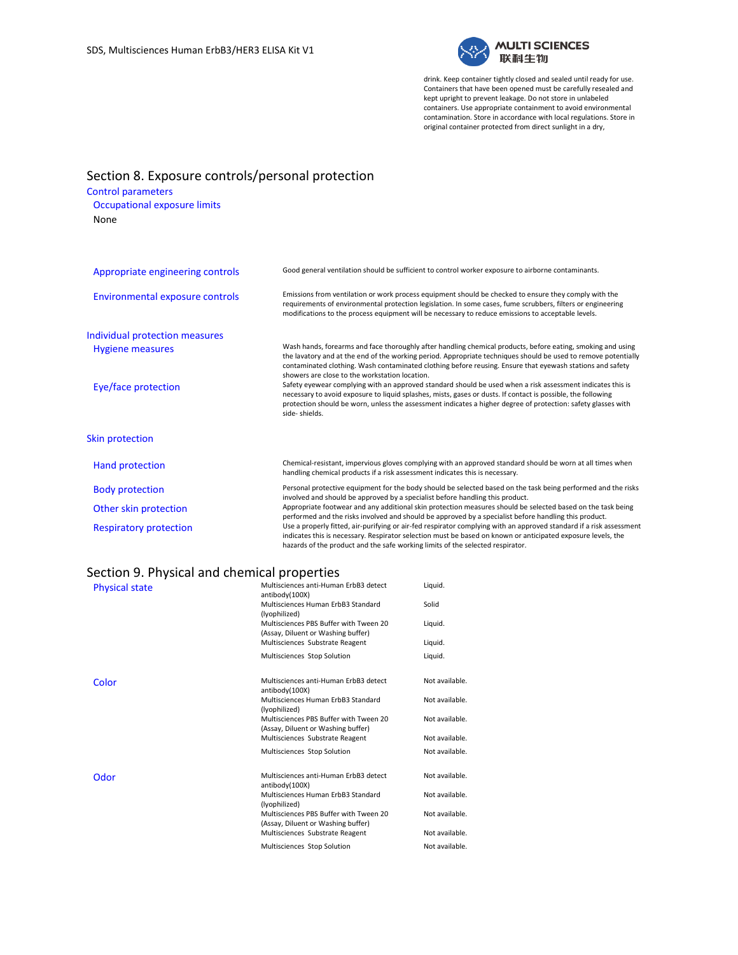

drink. Keep container tightly closed and sealed until ready for use. Containers that have been opened must be carefully resealed and kept upright to prevent leakage. Do not store in unlabeled containers. Use appropriate containment to avoid environmental contamination. Store in accordance with local regulations. Store in original container protected from direct sunlight in a dry,

# Section 8. Exposure controls/personal protection

### Control parameters

Occupational exposure limits None

| Appropriate engineering controls | Good general ventilation should be sufficient to control worker exposure to airborne contaminants.                                                                                                                                                                                                                                                                                           |
|----------------------------------|----------------------------------------------------------------------------------------------------------------------------------------------------------------------------------------------------------------------------------------------------------------------------------------------------------------------------------------------------------------------------------------------|
| Environmental exposure controls  | Emissions from ventilation or work process equipment should be checked to ensure they comply with the<br>requirements of environmental protection legislation. In some cases, fume scrubbers, filters or engineering<br>modifications to the process equipment will be necessary to reduce emissions to acceptable levels.                                                                   |
| Individual protection measures   |                                                                                                                                                                                                                                                                                                                                                                                              |
| <b>Hygiene measures</b>          | Wash hands, forearms and face thoroughly after handling chemical products, before eating, smoking and using<br>the lavatory and at the end of the working period. Appropriate techniques should be used to remove potentially<br>contaminated clothing. Wash contaminated clothing before reusing. Ensure that eyewash stations and safety<br>showers are close to the workstation location. |
| Eye/face protection              | Safety eyewear complying with an approved standard should be used when a risk assessment indicates this is<br>necessary to avoid exposure to liquid splashes, mists, gases or dusts. If contact is possible, the following<br>protection should be worn, unless the assessment indicates a higher degree of protection: safety glasses with<br>side-shields.                                 |
| <b>Skin protection</b>           |                                                                                                                                                                                                                                                                                                                                                                                              |
| Hand protection                  | Chemical-resistant, impervious gloves complying with an approved standard should be worn at all times when<br>handling chemical products if a risk assessment indicates this is necessary.                                                                                                                                                                                                   |
| <b>Body protection</b>           | Personal protective equipment for the body should be selected based on the task being performed and the risks<br>involved and should be approved by a specialist before handling this product.                                                                                                                                                                                               |
| Other skin protection            | Appropriate footwear and any additional skin protection measures should be selected based on the task being                                                                                                                                                                                                                                                                                  |

Respiratory protection Use a properly fitted, air-purifying or air-fed respirator complying with an approved standard if a risk assessment

hazards of the product and the safe working limits of the selected respirator.

performed and the risks involved and should be approved by a specialist before handling this product.

indicates this is necessary. Respirator selection must be based on known or anticipated exposure levels, the

# Section 9. Physical and chemical properties

| .<br><b>Physical state</b> | $5.00111551$ p. $5.50151$<br>Multisciences anti-Human ErbB3 detect<br>antibody(100X) | Liquid.        |
|----------------------------|--------------------------------------------------------------------------------------|----------------|
|                            | Multisciences Human ErbB3 Standard<br>(lyophilized)                                  | Solid          |
|                            | Multisciences PBS Buffer with Tween 20<br>(Assay, Diluent or Washing buffer)         | Liquid.        |
|                            | Multisciences Substrate Reagent                                                      | Liquid.        |
|                            | Multisciences Stop Solution                                                          | Liquid.        |
| Color                      | Multisciences anti-Human ErbB3 detect<br>antibody(100X)                              | Not available. |
|                            | Multisciences Human ErbB3 Standard<br>(lyophilized)                                  | Not available. |
|                            | Multisciences PBS Buffer with Tween 20<br>(Assay, Diluent or Washing buffer)         | Not available. |
|                            | Multisciences Substrate Reagent                                                      | Not available. |
|                            | Multisciences Stop Solution                                                          | Not available. |
| Odor                       | Multisciences anti-Human ErbB3 detect<br>antibody(100X)                              | Not available. |
|                            | Multisciences Human ErbB3 Standard<br>(lyophilized)                                  | Not available. |
|                            | Multisciences PBS Buffer with Tween 20<br>(Assay, Diluent or Washing buffer)         | Not available. |
|                            | Multisciences Substrate Reagent                                                      | Not available. |
|                            | Multisciences Stop Solution                                                          | Not available. |
|                            |                                                                                      |                |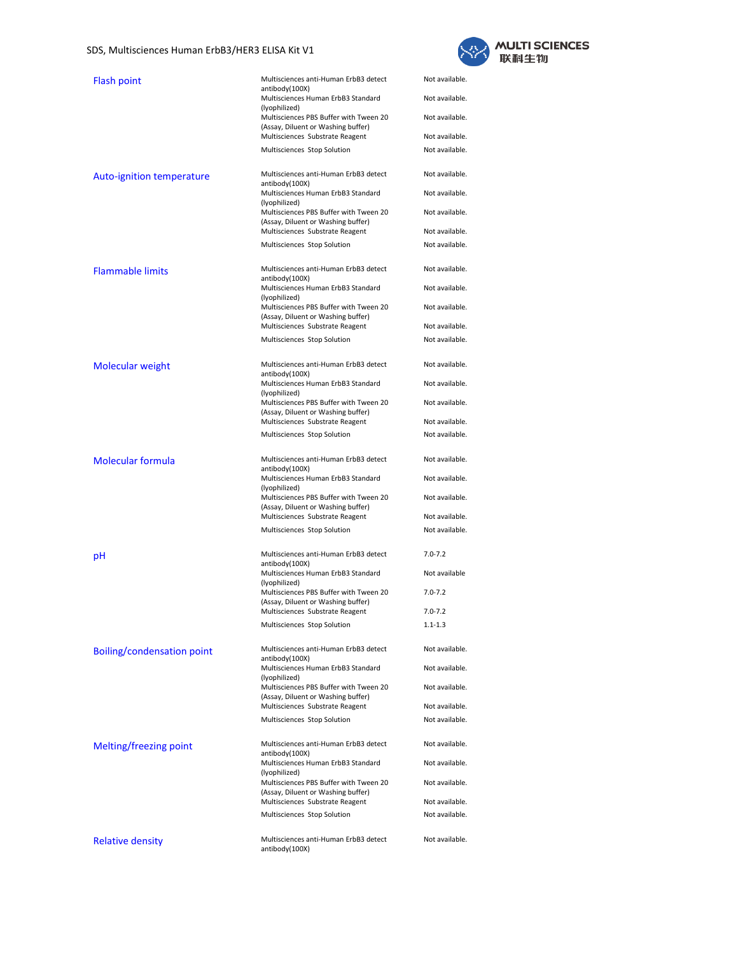### SDS, Multisciences Human ErbB3/HER3 ELISA Kit V1



| <b>Flash point</b>                | Multisciences anti-Human ErbB3 detect<br>antibody(100X)                      | Not available. |
|-----------------------------------|------------------------------------------------------------------------------|----------------|
|                                   | Multisciences Human ErbB3 Standard<br>(lyophilized)                          | Not available. |
|                                   | Multisciences PBS Buffer with Tween 20<br>(Assay, Diluent or Washing buffer) | Not available. |
|                                   | Multisciences Substrate Reagent                                              | Not available. |
|                                   | Multisciences Stop Solution                                                  | Not available. |
| Auto-ignition temperature         | Multisciences anti-Human ErbB3 detect<br>antibody(100X)                      | Not available. |
|                                   | Multisciences Human ErbB3 Standard<br>(lyophilized)                          | Not available. |
|                                   | Multisciences PBS Buffer with Tween 20<br>(Assay, Diluent or Washing buffer) | Not available. |
|                                   | Multisciences Substrate Reagent                                              | Not available. |
|                                   | Multisciences Stop Solution                                                  | Not available. |
|                                   |                                                                              |                |
| <b>Flammable limits</b>           | Multisciences anti-Human ErbB3 detect<br>antibody(100X)                      | Not available. |
|                                   | Multisciences Human ErbB3 Standard<br>(lyophilized)                          | Not available. |
|                                   | Multisciences PBS Buffer with Tween 20<br>(Assay, Diluent or Washing buffer) | Not available. |
|                                   | Multisciences Substrate Reagent                                              | Not available. |
|                                   | Multisciences Stop Solution                                                  | Not available. |
| <b>Molecular weight</b>           | Multisciences anti-Human ErbB3 detect<br>antibody(100X)                      | Not available. |
|                                   | Multisciences Human ErbB3 Standard<br>(lyophilized)                          | Not available. |
|                                   | Multisciences PBS Buffer with Tween 20<br>(Assay, Diluent or Washing buffer) | Not available. |
|                                   | Multisciences Substrate Reagent                                              | Not available. |
|                                   | Multisciences Stop Solution                                                  | Not available. |
| <b>Molecular formula</b>          | Multisciences anti-Human ErbB3 detect                                        | Not available. |
|                                   | antibody(100X)<br>Multisciences Human ErbB3 Standard                         | Not available. |
|                                   | (lyophilized)<br>Multisciences PBS Buffer with Tween 20                      | Not available. |
|                                   | (Assay, Diluent or Washing buffer)<br>Multisciences Substrate Reagent        | Not available. |
|                                   | Multisciences Stop Solution                                                  | Not available. |
|                                   |                                                                              |                |
| pН                                | Multisciences anti-Human ErbB3 detect<br>antibody(100X)                      | $7.0 - 7.2$    |
|                                   | Multisciences Human ErbB3 Standard<br>(lyophilized)                          | Not available  |
|                                   | Multisciences PBS Buffer with Tween 20<br>(Assay, Diluent or Washing buffer) | $7.0 - 7.2$    |
|                                   | Multisciences Substrate Reagent                                              | $7.0 - 7.2$    |
|                                   | Multisciences Stop Solution                                                  | $1.1 - 1.3$    |
| <b>Boiling/condensation point</b> | Multisciences anti-Human ErbB3 detect<br>antibody(100X)                      | Not available. |
|                                   | Multisciences Human ErbB3 Standard<br>(lyophilized)                          | Not available. |
|                                   | Multisciences PBS Buffer with Tween 20<br>(Assay, Diluent or Washing buffer) | Not available. |
|                                   | Multisciences Substrate Reagent                                              | Not available. |
|                                   | Multisciences Stop Solution                                                  | Not available. |
| Melting/freezing point            | Multisciences anti-Human ErbB3 detect                                        | Not available. |
|                                   | antibody(100X)<br>Multisciences Human ErbB3 Standard                         | Not available. |
|                                   | (lyophilized)<br>Multisciences PBS Buffer with Tween 20                      | Not available. |
|                                   | (Assay, Diluent or Washing buffer)<br>Multisciences Substrate Reagent        | Not available. |
|                                   | Multisciences Stop Solution                                                  | Not available. |
| <b>Relative density</b>           | Multisciences anti-Human ErbB3 detect<br>antibody(100X)                      | Not available. |
|                                   |                                                                              |                |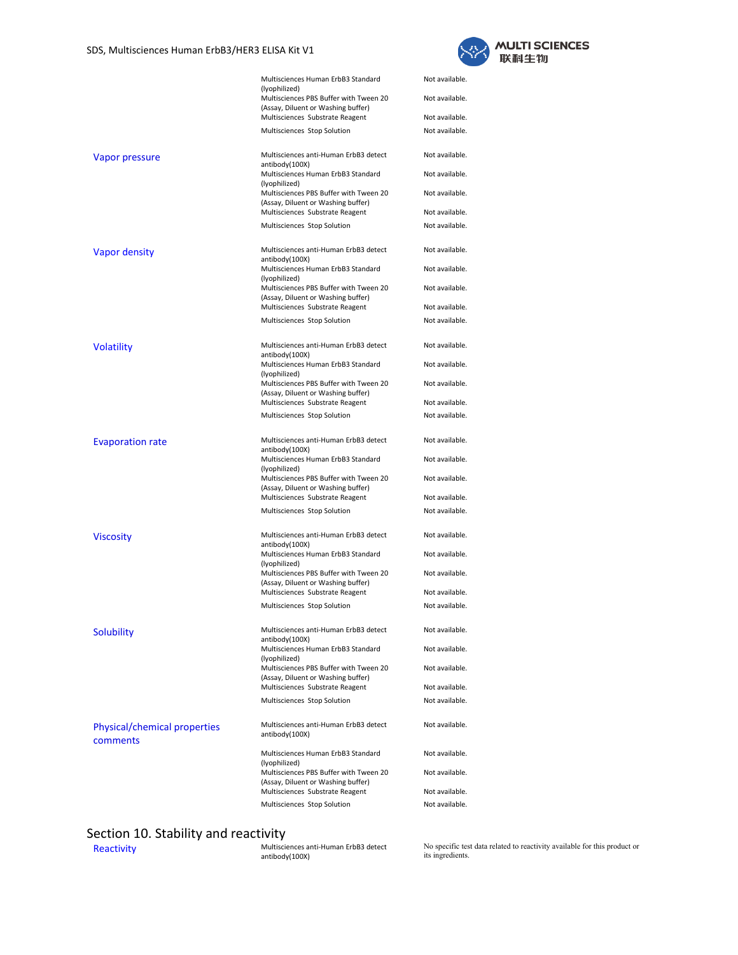

|                                          | Multisciences Human ErbB3 Standard<br>(lyophilized)                          | Not available. |
|------------------------------------------|------------------------------------------------------------------------------|----------------|
|                                          | Multisciences PBS Buffer with Tween 20<br>(Assay, Diluent or Washing buffer) | Not available. |
|                                          | Multisciences Substrate Reagent                                              | Not available. |
|                                          | Multisciences Stop Solution                                                  | Not available. |
|                                          |                                                                              |                |
| Vapor pressure                           | Multisciences anti-Human ErbB3 detect<br>antibody(100X)                      | Not available. |
|                                          | Multisciences Human ErbB3 Standard<br>(lyophilized)                          | Not available. |
|                                          | Multisciences PBS Buffer with Tween 20<br>(Assay, Diluent or Washing buffer) | Not available. |
|                                          | Multisciences Substrate Reagent                                              | Not available. |
|                                          | Multisciences Stop Solution                                                  | Not available. |
| <b>Vapor density</b>                     | Multisciences anti-Human ErbB3 detect<br>antibody(100X)                      | Not available. |
|                                          | Multisciences Human ErbB3 Standard<br>(lyophilized)                          | Not available. |
|                                          | Multisciences PBS Buffer with Tween 20<br>(Assay, Diluent or Washing buffer) | Not available. |
|                                          | Multisciences Substrate Reagent                                              | Not available. |
|                                          | Multisciences Stop Solution                                                  | Not available. |
| <b>Volatility</b>                        | Multisciences anti-Human ErbB3 detect<br>antibody(100X)                      | Not available. |
|                                          | Multisciences Human ErbB3 Standard<br>(lyophilized)                          | Not available. |
|                                          | Multisciences PBS Buffer with Tween 20<br>(Assay, Diluent or Washing buffer) | Not available. |
|                                          | Multisciences Substrate Reagent                                              | Not available. |
|                                          | Multisciences Stop Solution                                                  | Not available. |
| <b>Evaporation rate</b>                  | Multisciences anti-Human ErbB3 detect<br>antibody(100X)                      | Not available. |
|                                          | Multisciences Human ErbB3 Standard<br>(lyophilized)                          | Not available. |
|                                          | Multisciences PBS Buffer with Tween 20<br>(Assay, Diluent or Washing buffer) | Not available. |
|                                          | Multisciences Substrate Reagent                                              | Not available. |
|                                          | Multisciences Stop Solution                                                  | Not available. |
| <b>Viscosity</b>                         | Multisciences anti-Human ErbB3 detect<br>antibody(100X)                      | Not available. |
|                                          | Multisciences Human ErbB3 Standard<br>(lyophilized)                          | Not available. |
|                                          | Multisciences PBS Buffer with Tween 20<br>(Assay, Diluent or Washing buffer) | Not available. |
|                                          | Multisciences Substrate Reagent                                              | Not available. |
|                                          | Multisciences Stop Solution                                                  | Not available. |
| <b>Solubility</b>                        | Multisciences anti-Human ErbB3 detect<br>antibody(100X)                      | Not available. |
|                                          | Multisciences Human ErbB3 Standard<br>(lyophilized)                          | Not available. |
|                                          | Multisciences PBS Buffer with Tween 20<br>(Assay, Diluent or Washing buffer) | Not available. |
|                                          | Multisciences Substrate Reagent                                              | Not available. |
|                                          | Multisciences Stop Solution                                                  | Not available. |
| Physical/chemical properties<br>comments | Multisciences anti-Human ErbB3 detect<br>antibody(100X)                      | Not available. |
|                                          | Multisciences Human ErbB3 Standard<br>(lyophilized)                          | Not available. |
|                                          | Multisciences PBS Buffer with Tween 20<br>(Assay, Diluent or Washing buffer) | Not available. |
|                                          | Multisciences Substrate Reagent                                              | Not available. |
|                                          | Multisciences Stop Solution                                                  | Not available. |

# Section 10. Stability and reactivity<br>Reactivity

Reactivity **Multisciences anti-Human ErbB3 detect**<br>antibody(100X)

No specific test data related to reactivity available for this product or its ingredients.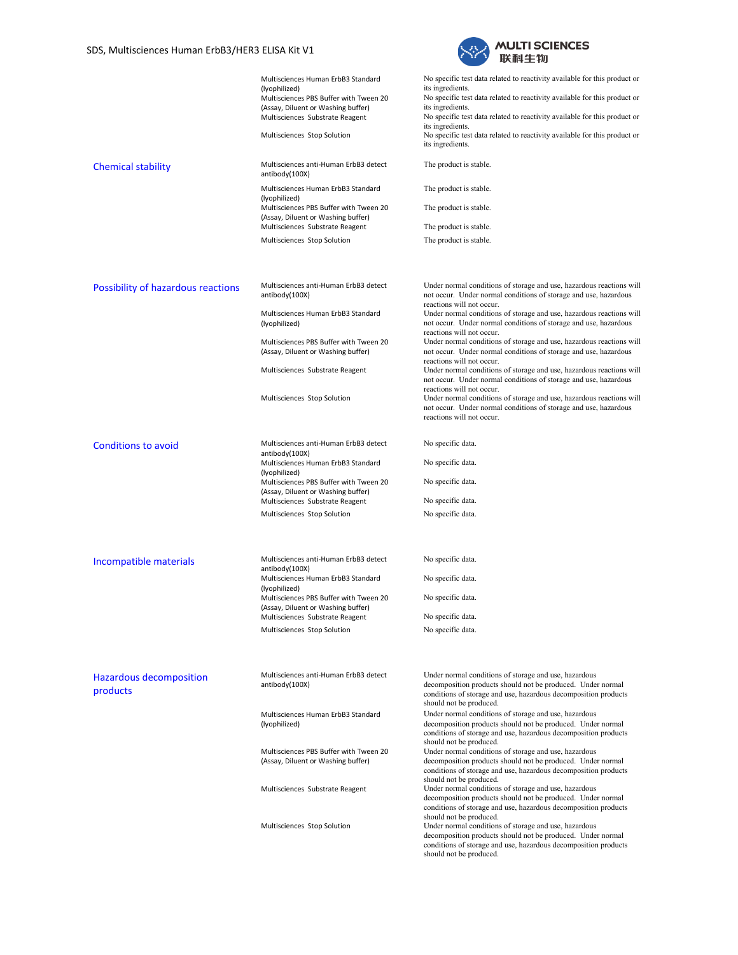

|                                            | Multisciences Human ErbB3 Standard<br>(lyophilized)<br>Multisciences PBS Buffer with Tween 20<br>(Assay, Diluent or Washing buffer)<br>Multisciences Substrate Reagent<br>Multisciences Stop Solution | No specific test data related to reactivity available for this product or<br>its ingredients.<br>No specific test data related to reactivity available for this product or<br>its ingredients.<br>No specific test data related to reactivity available for this product or<br>its ingredients.<br>No specific test data related to reactivity available for this product or<br>its ingredients. |
|--------------------------------------------|-------------------------------------------------------------------------------------------------------------------------------------------------------------------------------------------------------|--------------------------------------------------------------------------------------------------------------------------------------------------------------------------------------------------------------------------------------------------------------------------------------------------------------------------------------------------------------------------------------------------|
| <b>Chemical stability</b>                  | Multisciences anti-Human ErbB3 detect<br>antibody(100X)                                                                                                                                               | The product is stable.                                                                                                                                                                                                                                                                                                                                                                           |
|                                            | Multisciences Human ErbB3 Standard<br>(lyophilized)                                                                                                                                                   | The product is stable.                                                                                                                                                                                                                                                                                                                                                                           |
|                                            | Multisciences PBS Buffer with Tween 20<br>(Assay, Diluent or Washing buffer)<br>Multisciences Substrate Reagent                                                                                       | The product is stable.<br>The product is stable.                                                                                                                                                                                                                                                                                                                                                 |
|                                            | Multisciences Stop Solution                                                                                                                                                                           | The product is stable.                                                                                                                                                                                                                                                                                                                                                                           |
| Possibility of hazardous reactions         | Multisciences anti-Human ErbB3 detect<br>antibody(100X)                                                                                                                                               | Under normal conditions of storage and use, hazardous reactions will<br>not occur. Under normal conditions of storage and use, hazardous<br>reactions will not occur.                                                                                                                                                                                                                            |
|                                            | Multisciences Human ErbB3 Standard<br>(lyophilized)                                                                                                                                                   | Under normal conditions of storage and use, hazardous reactions will<br>not occur. Under normal conditions of storage and use, hazardous<br>reactions will not occur.                                                                                                                                                                                                                            |
|                                            | Multisciences PBS Buffer with Tween 20<br>(Assay, Diluent or Washing buffer)                                                                                                                          | Under normal conditions of storage and use, hazardous reactions will<br>not occur. Under normal conditions of storage and use, hazardous<br>reactions will not occur.                                                                                                                                                                                                                            |
|                                            | Multisciences Substrate Reagent                                                                                                                                                                       | Under normal conditions of storage and use, hazardous reactions will<br>not occur. Under normal conditions of storage and use, hazardous<br>reactions will not occur.                                                                                                                                                                                                                            |
|                                            | Multisciences Stop Solution                                                                                                                                                                           | Under normal conditions of storage and use, hazardous reactions will<br>not occur. Under normal conditions of storage and use, hazardous<br>reactions will not occur.                                                                                                                                                                                                                            |
| <b>Conditions to avoid</b>                 | Multisciences anti-Human ErbB3 detect<br>antibody(100X)                                                                                                                                               | No specific data.                                                                                                                                                                                                                                                                                                                                                                                |
|                                            | Multisciences Human ErbB3 Standard<br>(lyophilized)                                                                                                                                                   | No specific data.                                                                                                                                                                                                                                                                                                                                                                                |
|                                            | Multisciences PBS Buffer with Tween 20<br>(Assay, Diluent or Washing buffer)<br>Multisciences Substrate Reagent                                                                                       | No specific data.<br>No specific data.                                                                                                                                                                                                                                                                                                                                                           |
|                                            | Multisciences Stop Solution                                                                                                                                                                           | No specific data.                                                                                                                                                                                                                                                                                                                                                                                |
|                                            |                                                                                                                                                                                                       |                                                                                                                                                                                                                                                                                                                                                                                                  |
| Incompatible materials                     | Multisciences anti-Human ErbB3 detect<br>antibody(100X)<br>Multisciences Human ErbB3 Standard                                                                                                         | No specific data.<br>No specific data.                                                                                                                                                                                                                                                                                                                                                           |
|                                            | (lyophilized)<br>Multisciences PBS Buffer with Tween 20                                                                                                                                               | No specific data.                                                                                                                                                                                                                                                                                                                                                                                |
|                                            | (Assay, Diluent or Washing buffer)<br>Multisciences Substrate Reagent                                                                                                                                 | No specific data.                                                                                                                                                                                                                                                                                                                                                                                |
|                                            | Multisciences Stop Solution                                                                                                                                                                           | No specific data.                                                                                                                                                                                                                                                                                                                                                                                |
| <b>Hazardous decomposition</b><br>products | Multisciences anti-Human ErbB3 detect<br>antibody(100X)                                                                                                                                               | Under normal conditions of storage and use, hazardous<br>decomposition products should not be produced. Under normal<br>conditions of storage and use, hazardous decomposition products<br>should not be produced.                                                                                                                                                                               |
|                                            | Multisciences Human ErbB3 Standard<br>(lyophilized)                                                                                                                                                   | Under normal conditions of storage and use, hazardous<br>decomposition products should not be produced. Under normal<br>conditions of storage and use, hazardous decomposition products<br>should not be produced.                                                                                                                                                                               |
|                                            | Multisciences PBS Buffer with Tween 20<br>(Assay, Diluent or Washing buffer)                                                                                                                          | Under normal conditions of storage and use, hazardous<br>decomposition products should not be produced. Under normal<br>conditions of storage and use, hazardous decomposition products<br>should not be produced.                                                                                                                                                                               |
|                                            | Multisciences Substrate Reagent                                                                                                                                                                       | Under normal conditions of storage and use, hazardous<br>decomposition products should not be produced. Under normal<br>conditions of storage and use, hazardous decomposition products<br>should not be produced.                                                                                                                                                                               |
|                                            | Multisciences Stop Solution                                                                                                                                                                           | Under normal conditions of storage and use, hazardous<br>decomposition products should not be produced. Under normal<br>conditions of storage and use, hazardous decomposition products<br>should not be produced.                                                                                                                                                                               |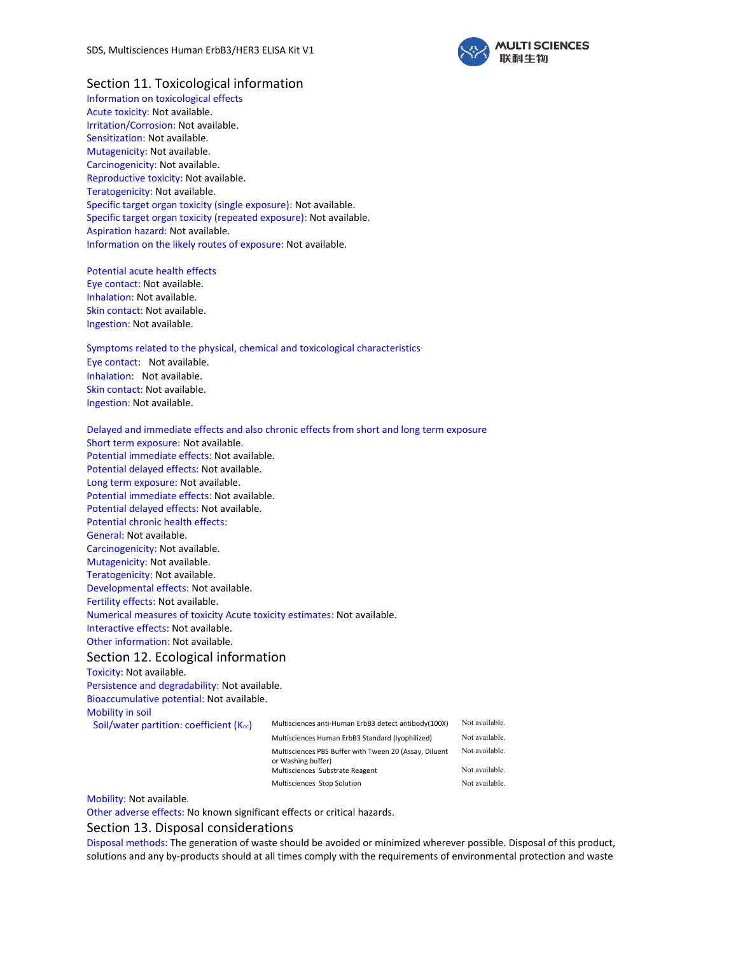

## Section 11. Toxicological information

Information on toxicological effects Acute toxicity: Not available. Irritation/Corrosion: Not available. Sensitization: Not available. Mutagenicity: Not available. Carcinogenicity: Not available. Reproductive toxicity: Not available. Teratogenicity: Not available. Specific target organ toxicity (single exposure): Not available. Specific target organ toxicity (repeated exposure): Not available. Aspiration hazard: Not available. Information on the likely routes of exposure: Not available.

Potential acute health effects Eye contact: Not available. Inhalation: Not available. Skin contact: Not available. Ingestion: Not available.

#### Symptoms related to the physical, chemical and toxicological characteristics

Eye contact: Not available. Inhalation: Not available. Skin contact: Not available. Ingestion: Not available.

Delayed and immediate effects and also chronic effects from short and long term exposure Short term exposure: Not available. Potential immediate effects: Not available. Potential delayed effects: Not available. Long term exposure: Not available. Potential immediate effects: Not available. Potential delayed effects: Not available. Potential chronic health effects: General: Not available. Carcinogenicity: Not available. Mutagenicity: Not available. Teratogenicity: Not available. Developmental effects: Not available. Fertility effects: Not available. Numerical measures of toxicity Acute toxicity estimates: Not available. Interactive effects: Not available. Other information: Not available. Section 12. Ecological information Toxicity: Not available. Persistence and degradability: Not available. Bioaccumulative potential: Not available. Mobility in soil Soil/water partition: coefficient  $(K_{oc})$  Multisciences anti-Human ErbB3 detect antibody(100X) Not available. Multisciences Human ErbB3 Standard (lyophilized) Not available. Multisciences PBS Buffer with Tween 20 (Assay, Diluent or Washing buffer) Not available. Multisciences Substrate Reagent Not available.

Mobility: Not available.

Other adverse effects: No known significant effects or critical hazards.

### Section 13. Disposal considerations

Disposal methods: The generation of waste should be avoided or minimized wherever possible. Disposal of this product, solutions and any by-products should at all times comply with the requirements of environmental protection and waste

Multisciences Stop Solution Not available.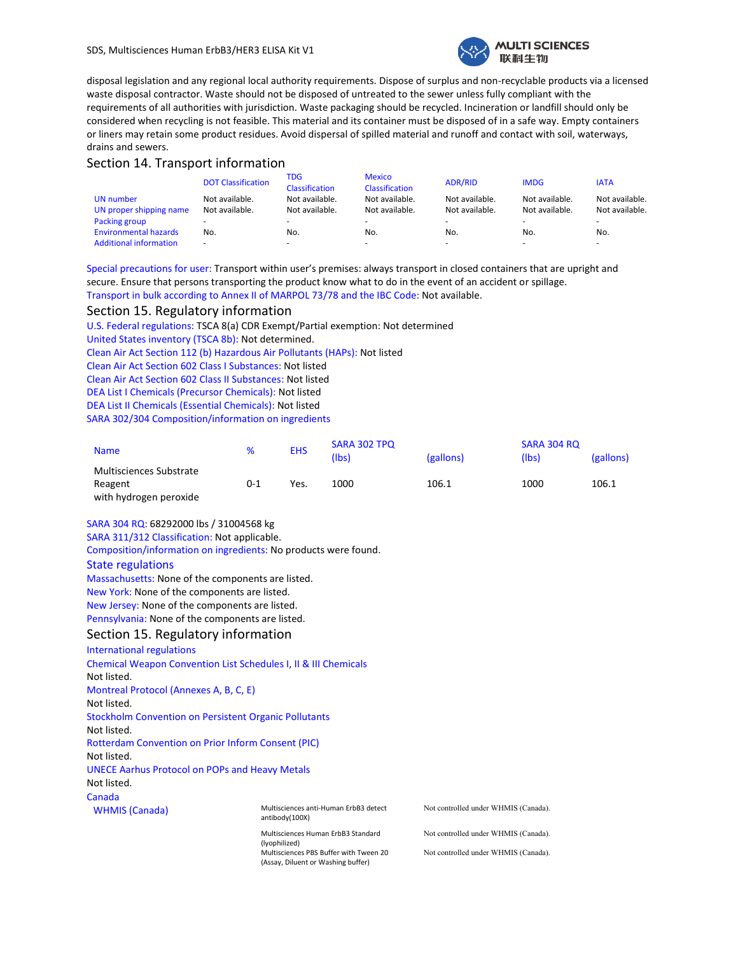

disposal legislation and any regional local authority requirements. Dispose of surplus and non-recyclable products via a licensed waste disposal contractor. Waste should not be disposed of untreated to the sewer unless fully compliant with the requirements of all authorities with jurisdiction. Waste packaging should be recycled. Incineration or landfill should only be considered when recycling is not feasible. This material and its container must be disposed of in a safe way. Empty containers or liners may retain some product residues. Avoid dispersal of spilled material and runoff and contact with soil, waterways, drains and sewers.

# Section 14. Transport information

|                               | <b>DOT Classification</b> | TDG<br>Classification | <b>Mexico</b><br>Classification | <b>ADR/RID</b>           | <b>IMDG</b>    | <b>IATA</b>              |
|-------------------------------|---------------------------|-----------------------|---------------------------------|--------------------------|----------------|--------------------------|
| UN number                     | Not available.            | Not available.        | Not available.                  | Not available.           | Not available. | Not available.           |
| UN proper shipping name       | Not available.            | Not available.        | Not available.                  | Not available.           | Not available. | Not available.           |
| Packing group                 | $\sim$                    |                       |                                 | $\overline{\phantom{a}}$ | -              | $\overline{\phantom{a}}$ |
| <b>Environmental hazards</b>  | No.                       | No.                   | No.                             | No.                      | No.            | No.                      |
| <b>Additional information</b> | $\overline{\phantom{a}}$  | -                     |                                 |                          |                | $\overline{\phantom{a}}$ |

Special precautions for user: Transport within user's premises: always transport in closed containers that are upright and secure. Ensure that persons transporting the product know what to do in the event of an accident or spillage. Transport in bulk according to Annex II of MARPOL 73/78 and the IBC Code: Not available.

### Section 15. Regulatory information

U.S. Federal regulations: TSCA 8(a) CDR Exempt/Partial exemption: Not determined United States inventory (TSCA 8b): Not determined. Clean Air Act Section 112 (b) Hazardous Air Pollutants (HAPs): Not listed Clean Air Act Section 602 Class I Substances: Not listed Clean Air Act Section 602 Class II Substances: Not listed DEA List I Chemicals (Precursor Chemicals): Not listed DEA List II Chemicals (Essential Chemicals): Not listed SARA 302/304 Composition/information on ingredients

| <b>Name</b>                                                  | %       | <b>EHS</b> | SARA 302 TPQ<br>(Ibs) | (gallons) | SARA 304 RQ<br>(lbs) | (gallons) |
|--------------------------------------------------------------|---------|------------|-----------------------|-----------|----------------------|-----------|
| Multisciences Substrate<br>Reagent<br>with hydrogen peroxide | $0 - 1$ | Yes.       | 1000                  | 106.1     | 1000                 | 106.1     |

### SARA 304 RQ: 68292000 lbs / 31004568 kg

SARA 311/312 Classification: Not applicable.

Composition/information on ingredients: No products were found.

#### State regulations

Massachusetts: None of the components are listed. New York: None of the components are listed. New Jersey: None of the components are listed. Pennsylvania: None of the components are listed.

### Section 15. Regulatory information

| International regulations                                    |                                                                              |                                      |
|--------------------------------------------------------------|------------------------------------------------------------------------------|--------------------------------------|
|                                                              | <b>Chemical Weapon Convention List Schedules I, II &amp; III Chemicals</b>   |                                      |
| Not listed.                                                  |                                                                              |                                      |
| Montreal Protocol (Annexes A, B, C, E)                       |                                                                              |                                      |
| Not listed.                                                  |                                                                              |                                      |
| <b>Stockholm Convention on Persistent Organic Pollutants</b> |                                                                              |                                      |
| Not listed.                                                  |                                                                              |                                      |
| <b>Rotterdam Convention on Prior Inform Consent (PIC)</b>    |                                                                              |                                      |
| Not listed.                                                  |                                                                              |                                      |
| <b>UNECE Aarhus Protocol on POPs and Heavy Metals</b>        |                                                                              |                                      |
| Not listed.                                                  |                                                                              |                                      |
| Canada                                                       |                                                                              |                                      |
| <b>WHMIS</b> (Canada)                                        | Multisciences anti-Human ErbB3 detect<br>antibody(100X)                      | Not controlled under WHMIS (Canada). |
|                                                              | Multisciences Human ErbB3 Standard<br>(lyophilized)                          | Not controlled under WHMIS (Canada). |
|                                                              | Multisciences PBS Buffer with Tween 20<br>(Assay, Diluent or Washing buffer) | Not controlled under WHMIS (Canada). |